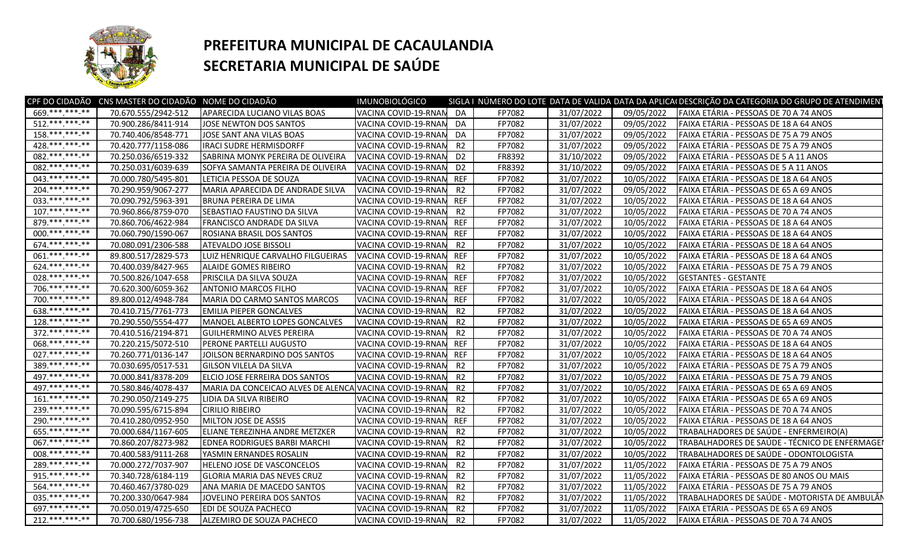

## **PREFEITURA MUNICIPAL DE CACAULANDIA SECRETARIA MUNICIPAL DE SAÚDE**

|                    | CPF DO CIDADÃO CNS MASTER DO CIDADÃO NOME DO CIDADÃO |                                                         | IMUNOBIOLÓGICO          |                |        |            |            | SIGLA I NÚMERO DO LOTE DATA DE VALIDA DATA DA APLICAI DESCRIÇÃO DA CATEGORIA DO GRUPO DE ATENDIMEN |
|--------------------|------------------------------------------------------|---------------------------------------------------------|-------------------------|----------------|--------|------------|------------|----------------------------------------------------------------------------------------------------|
| 669.**********     | 70.670.555/2942-512                                  | APARECIDA LUCIANO VILAS BOAS                            | VACINA COVID-19-RNAN DA |                | FP7082 | 31/07/2022 | 09/05/2022 | FAIXA ETÁRIA - PESSOAS DE 70 A 74 ANOS                                                             |
| $512$ .*** ***_**  | 70.900.286/8411-914                                  | JOSE NEWTON DOS SANTOS                                  | VACINA COVID-19-RNAN    | DA             | FP7082 | 31/07/2022 | 09/05/2022 | FAIXA ETÁRIA - PESSOAS DE 18 A 64 ANOS                                                             |
| $158$ .*** *** **  | 70.740.406/8548-771                                  | JOSE SANT ANA VILAS BOAS                                | VACINA COVID-19-RNAM    | DA             | FP7082 | 31/07/2022 | 09/05/2022 | FAIXA ETÁRIA - PESSOAS DE 75 A 79 ANOS                                                             |
| 428 *** *** **     | 70.420.777/1158-086                                  | IRACI SUDRE HERMISDORFF                                 | VACINA COVID-19-RNAM    | R2             | FP7082 | 31/07/2022 | 09/05/2022 | FAIXA ETÁRIA - PESSOAS DE 75 A 79 ANOS                                                             |
| 082. *** *** -**   | 70.250.036/6519-332                                  | SABRINA MONYK PEREIRA DE OLIVEIRA                       | VACINA COVID-19-RNAN    | D <sub>2</sub> | FR8392 | 31/10/2022 | 09/05/2022 | FAIXA ETÁRIA - PESSOAS DE 5 A 11 ANOS                                                              |
| 082. *** *** -**   | 70.250.031/6039-639                                  | SOFYA SAMANTA PEREIRA DE OLIVEIRA                       | VACINA COVID-19-RNAN    | D <sub>2</sub> | FR8392 | 31/10/2022 | 09/05/2022 | FAIXA ETÁRIA - PESSOAS DE 5 A 11 ANOS                                                              |
| 043. *** *** **    | 70.000.780/5495-801                                  | LETICIA PESSOA DE SOUZA                                 | VACINA COVID-19-RNAM    | <b>REF</b>     | FP7082 | 31/07/2022 | 10/05/2022 | FAIXA ETÁRIA - PESSOAS DE 18 A 64 ANOS                                                             |
| $204$ .***.***.**  | 70.290.959/9067-277                                  | MARIA APARECIDA DE ANDRADE SILVA                        | VACINA COVID-19-RNAM    | R2             | FP7082 | 31/07/2022 | 09/05/2022 | FAIXA ETÁRIA - PESSOAS DE 65 A 69 ANOS                                                             |
| 033. *** *** -**   | 70.090.792/5963-391                                  | <b>BRUNA PEREIRA DE LIMA</b>                            | VACINA COVID-19-RNAN    | <b>REF</b>     | FP7082 | 31/07/2022 | 10/05/2022 | FAIXA ETÁRIA - PESSOAS DE 18 A 64 ANOS                                                             |
| $107.*******.**$   | 70.960.866/8759-070                                  | SEBASTIAO FAUSTINO DA SILVA                             | VACINA COVID-19-RNAN    | R2             | FP7082 | 31/07/2022 | 10/05/2022 | FAIXA ETÁRIA - PESSOAS DE 70 A 74 ANOS                                                             |
| 879.**********     | 70.860.706/4622-984                                  | <b>FRANCISCO ANDRADE DA SILVA</b>                       | VACINA COVID-19-RNAM    | <b>REF</b>     | FP7082 | 31/07/2022 | 10/05/2022 | FAIXA ETÁRIA - PESSOAS DE 18 A 64 ANOS                                                             |
| 000.*********      | 70.060.790/1590-067                                  | <b>ROSIANA BRASIL DOS SANTOS</b>                        | VACINA COVID-19-RNAM    | <b>REF</b>     | FP7082 | 31/07/2022 | 10/05/2022 | FAIXA ETÁRIA - PESSOAS DE 18 A 64 ANOS                                                             |
| 674.*******-**     | 70.080.091/2306-588                                  | ATEVALDO JOSE BISSOLI                                   | VACINA COVID-19-RNAM    | R2             | FP7082 | 31/07/2022 | 10/05/2022 | FAIXA ETÁRIA - PESSOAS DE 18 A 64 ANOS                                                             |
| 061.**********     | 89.800.517/2829-573                                  | LUIZ HENRIQUE CARVALHO FILGUEIRAS                       | VACINA COVID-19-RNAM    | <b>REF</b>     | FP7082 | 31/07/2022 | 10/05/2022 | FAIXA ETÁRIA - PESSOAS DE 18 A 64 ANOS                                                             |
| 624.*** ***-**     | 70.400.039/8427-965                                  | ALAIDE GOMES RIBEIRO                                    | VACINA COVID-19-RNAN    | R2             | FP7082 | 31/07/2022 | 10/05/2022 | FAIXA ETÁRIA - PESSOAS DE 75 A 79 ANOS                                                             |
| 028. *** *** **    | 70.500.826/1047-658                                  | PRISCILA DA SILVA SOUZA                                 | VACINA COVID-19-RNAN    | <b>REF</b>     | FP7082 | 31/07/2022 | 10/05/2022 | <b>GESTANTES - GESTANTE</b>                                                                        |
| 706 *** *** **     | 70.620.300/6059-362                                  | <b>ANTONIO MARCOS FILHO</b>                             | VACINA COVID-19-RNAN    | <b>REF</b>     | FP7082 | 31/07/2022 | 10/05/2022 | FAIXA ETÁRIA - PESSOAS DE 18 A 64 ANOS                                                             |
| 700 *** *** **     | 89.800.012/4948-784                                  | MARIA DO CARMO SANTOS MARCOS                            | VACINA COVID-19-RNAM    | <b>REF</b>     | FP7082 | 31/07/2022 | 10/05/2022 | FAIXA ETÁRIA - PESSOAS DE 18 A 64 ANOS                                                             |
| 638.**********     | 70.410.715/7761-773                                  | <b>EMILIA PIEPER GONCALVES</b>                          | VACINA COVID-19-RNAM    | R2             | FP7082 | 31/07/2022 | 10/05/2022 | FAIXA ETÁRIA - PESSOAS DE 18 A 64 ANOS                                                             |
| $128.**********$   | 70.290.550/5554-477                                  | MANOEL ALBERTO LOPES GONCALVES                          | VACINA COVID-19-RNAM    | R2             | FP7082 | 31/07/2022 | 10/05/2022 | FAIXA ETÁRIA - PESSOAS DE 65 A 69 ANOS                                                             |
| $372.*******.**$   | 70.410.516/2194-871                                  | <b>GUILHERMINO ALVES PEREIRA</b>                        | VACINA COVID-19-RNAN    | R2             | FP7082 | 31/07/2022 | 10/05/2022 | FAIXA ETÁRIA - PESSOAS DE 70 A 74 ANOS                                                             |
| 068.**********     | 70.220.215/5072-510                                  | PERONE PARTELLI AUGUSTO                                 | VACINA COVID-19-RNAM    | <b>REF</b>     | FP7082 | 31/07/2022 | 10/05/2022 | FAIXA ETÁRIA - PESSOAS DE 18 A 64 ANOS                                                             |
| $027*********$     | 70.260.771/0136-147                                  | JOILSON BERNARDINO DOS SANTOS                           | VACINA COVID-19-RNAN    | <b>REF</b>     | FP7082 | 31/07/2022 | 10/05/2022 | FAIXA ETÁRIA - PESSOAS DE 18 A 64 ANOS                                                             |
| 389. *** *** -**   | 70.030.695/0517-531                                  | <b>GILSON VILELA DA SILVA</b>                           | VACINA COVID-19-RNAM    | R2             | FP7082 | 31/07/2022 | 10/05/2022 | FAIXA ETÁRIA - PESSOAS DE 75 A 79 ANOS                                                             |
| 497.***.***.**     | 70.000.841/8378-209                                  | ELCIO JOSE FERREIRA DOS SANTOS                          | VACINA COVID-19-RNAM    | R2             | FP7082 | 31/07/2022 | 10/05/2022 | FAIXA ETÁRIA - PESSOAS DE 75 A 79 ANOS                                                             |
| 497 *** *** -**    | 70.580.846/4078-437                                  | MARIA DA CONCEICAO ALVES DE ALENCA VACINA COVID-19-RNAM |                         | R2             | FP7082 | 31/07/2022 | 10/05/2022 | FAIXA ETÁRIA - PESSOAS DE 65 A 69 ANOS                                                             |
| $161*********$     | 70.290.050/2149-275                                  | LIDIA DA SILVA RIBEIRO                                  | VACINA COVID-19-RNAN    | R2             | FP7082 | 31/07/2022 | 10/05/2022 | FAIXA ETÁRIA - PESSOAS DE 65 A 69 ANOS                                                             |
| 239 *** *** **     | 70.090.595/6715-894                                  | <b>CIRILIO RIBEIRO</b>                                  | VACINA COVID-19-RNAM    | R2             | FP7082 | 31/07/2022 | 10/05/2022 | FAIXA ETÁRIA - PESSOAS DE 70 A 74 ANOS                                                             |
| 290.*** *** -**    | 70.410.280/0952-950                                  | MILTON JOSE DE ASSIS                                    | VACINA COVID-19-RNAN    | <b>REF</b>     | FP7082 | 31/07/2022 | 10/05/2022 | FAIXA ETÁRIA - PESSOAS DE 18 A 64 ANOS                                                             |
| 655.**********     | 70.000.684/1167-605                                  | ELIANE TEREZINHA ANDRE METZKER                          | VACINA COVID-19-RNAN    | R2             | FP7082 | 31/07/2022 | 10/05/2022 | TRABALHADORES DE SAÚDE - ENFERMEIRO(A)                                                             |
| 067. *** *** -**   | 70.860.207/8273-982                                  | EDNEA RODRIGUES BARBI MARCHI                            | VACINA COVID-19-RNAN    | R <sub>2</sub> | FP7082 | 31/07/2022 | 10/05/2022 | TRABALHADORES DE SAÚDE - TÉCNICO DE ENFERMAGEI                                                     |
| 008.**********     | 70.400.583/9111-268                                  | YASMIN ERNANDES ROSALIN                                 | VACINA COVID-19-RNAN    | R <sub>2</sub> | FP7082 | 31/07/2022 | 10/05/2022 | TRABALHADORES DE SAÚDE - ODONTOLOGISTA                                                             |
| 289. *** *** -**   | 70.000.272/7037-907                                  | HELENO JOSE DE VASCONCELOS                              | VACINA COVID-19-RNAN    | R <sub>2</sub> | FP7082 | 31/07/2022 | 11/05/2022 | FAIXA ETÁRIA - PESSOAS DE 75 A 79 ANOS                                                             |
| $915.*******.**$   | 70.340.728/6184-119                                  | <b>GLORIA MARIA DAS NEVES CRUZ</b>                      | VACINA COVID-19-RNAN    | R2             | FP7082 | 31/07/2022 | 11/05/2022 | FAIXA ETÁRIA - PESSOAS DE 80 ANOS OU MAIS                                                          |
| 564. *** *** **    | 70.460.467/3780-029                                  | ANA MARIA DE MACEDO SANTOS                              | VACINA COVID-19-RNAN    | R2             | FP7082 | 31/07/2022 | 11/05/2022 | FAIXA ETÁRIA - PESSOAS DE 75 A 79 ANOS                                                             |
| 035. *** *** -**   | 70.200.330/0647-984                                  | JOVELINO PEREIRA DOS SANTOS                             | VACINA COVID-19-RNAM    | R2             | FP7082 | 31/07/2022 | 11/05/2022 | TRABALHADORES DE SAÚDE - MOTORISTA DE AMBULÂN                                                      |
| 697.**********     | 70.050.019/4725-650                                  | <b>EDI DE SOUZA PACHECO</b>                             | VACINA COVID-19-RNAN    | R2             | FP7082 | 31/07/2022 | 11/05/2022 | FAIXA ETÁRIA - PESSOAS DE 65 A 69 ANOS                                                             |
| $212.****.***-***$ | 70.700.680/1956-738                                  | ALZEMIRO DE SOUZA PACHECO                               | VACINA COVID-19-RNAN    | R <sub>2</sub> | FP7082 | 31/07/2022 | 11/05/2022 | FAIXA ETÁRIA - PESSOAS DE 70 A 74 ANOS                                                             |
|                    |                                                      |                                                         |                         |                |        |            |            |                                                                                                    |